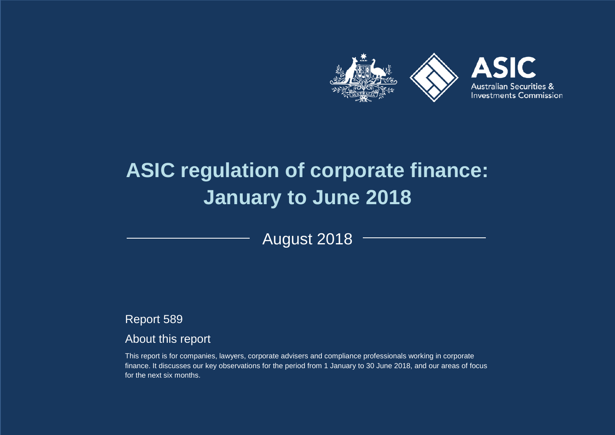

# **ASIC regulation of corporate finance: January to June 2018**

August 2018

Report 589

## About this report

This report is for companies, lawyers, corporate advisers and compliance professionals working in corporate finance. It discusses our key observations for the period from 1 January to 30 June 2018, and our areas of focus for the next six months.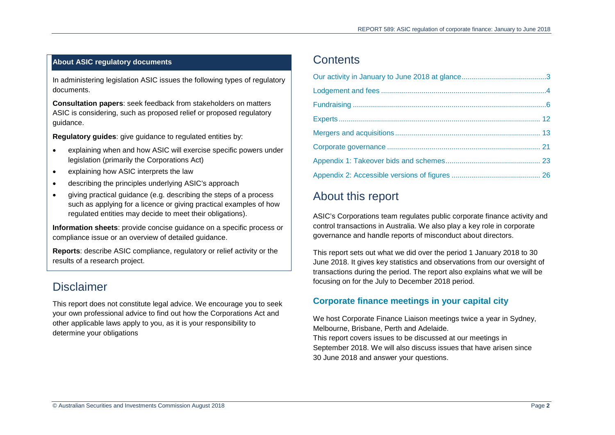## **About ASIC regulatory documents**

In administering legislation ASIC issues the following types of regulatory documents.

**Consultation papers**: seek feedback from stakeholders on matters ASIC is considering, such as proposed relief or proposed regulatory guidance.

**Regulatory guides**: give guidance to regulated entities by:

- explaining when and how ASIC will exercise specific powers under legislation (primarily the Corporations Act)
- explaining how ASIC interprets the law
- describing the principles underlying ASIC's approach
- giving practical guidance (e.g. describing the steps of a process such as applying for a licence or giving practical examples of how regulated entities may decide to meet their obligations).

**Information sheets**: provide concise guidance on a specific process or compliance issue or an overview of detailed guidance.

**Reports**: describe ASIC compliance, regulatory or relief activity or the results of a research project.

## **Disclaimer**

This report does not constitute legal advice. We encourage you to seek your own professional advice to find out how the Corporations Act and other applicable laws apply to you, as it is your responsibility to determine your obligations

## **Contents**

## About this report

ASIC's Corporations team regulates public corporate finance activity and control transactions in Australia. We also play a key role in corporate governance and handle reports of misconduct about directors.

This report sets out what we did over the period 1 January 2018 to 30 June 2018. It gives key statistics and observations from our oversight of transactions during the period. The report also explains what we will be focusing on for the July to December 2018 period.

## **Corporate finance meetings in your capital city**

We host Corporate Finance Liaison meetings twice a year in Sydney, Melbourne, Brisbane, Perth and Adelaide. This report covers issues to be discussed at our meetings in September 2018. We will also discuss issues that have arisen since 30 June 2018 and answer your questions.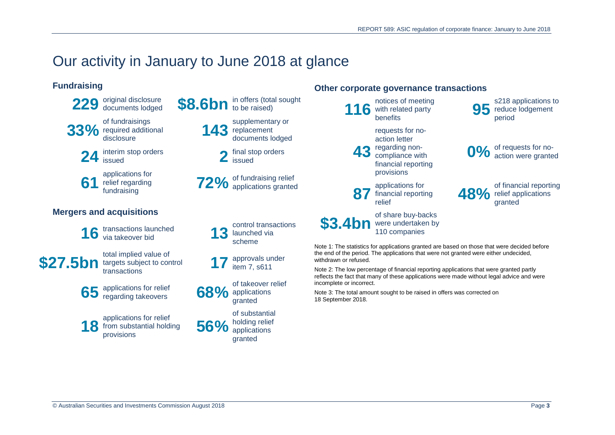# <span id="page-2-0"></span>Our activity in January to June 2018 at glance

## **Fundraising**





**24** interim stop orders **2** final stop orders **2** issued

**61** relief regarding<br>
fundraising

## **Mergers and acquisitions**

16 transactions launched 13

**\$27.5bn** total implied value of

**65** applications for relief regarding takeovers **68%**

**18** from substantial holding 56%



**143** supplementary or<br>documents lodged documents lodged

issued

relief regarding<br>
fundraising<br>
fundraising<br> **72%** of fundraising ranted

control transactions launched via scheme

targets subject to control<br>transactions **17** approvals under<br>transactions item 7, s611

> of takeover relief applications granted

of substantial holding relief applications granted

## **Other corporate governance transactions**



Note 1: The statistics for applications granted are based on those that were decided before the end of the period. The applications that were not granted were either undecided, withdrawn or refused.

Note 2: The low percentage of financial reporting applications that were granted partly reflects the fact that many of these applications were made without legal advice and were incomplete or incorrect.

Note 3: The total amount sought to be raised in offers was corrected on 18 September 2018.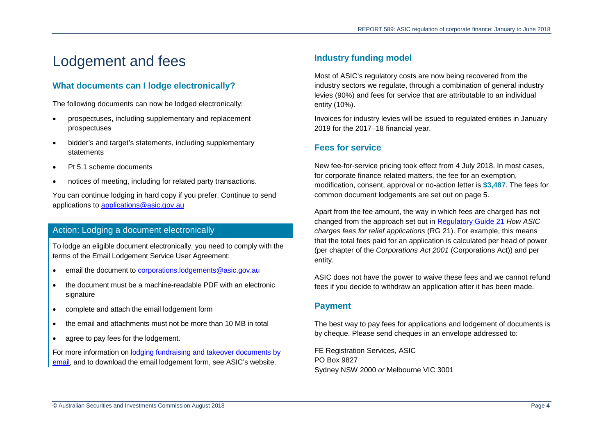# <span id="page-3-0"></span>Lodgement and fees

## **What documents can I lodge electronically?**

The following documents can now be lodged electronically:

- prospectuses, including supplementary and replacement prospectuses
- bidder's and target's statements, including supplementary statements
- Pt 5.1 scheme documents
- notices of meeting, including for related party transactions.

You can continue lodging in hard copy if you prefer. Continue to send applications to [applications@asic.gov.au](mailto:applications@asic.gov.au)

## Action: Lodging a document electronically

To lodge an eligible document electronically, you need to comply with the terms of the Email Lodgement Service User Agreement:

- email the document to [corporations.lodgements@asic.gov.au](mailto:corporations.lodgements@asic.gov.au)
- the document must be a machine-readable PDF with an electronic signature
- complete and attach the email lodgement form
- the email and attachments must not be more than 10 MB in total
- agree to pay fees for the lodgement.

For more information on [lodging fundraising and takeover documents by](https://asic.gov.au/regulatory-resources/fundraising/lodging-prospectuses-and-other-disclosure-documents/fundraising-and-takeover-documents-can-now-be-lodged-by-email/)  [email,](https://asic.gov.au/regulatory-resources/fundraising/lodging-prospectuses-and-other-disclosure-documents/fundraising-and-takeover-documents-can-now-be-lodged-by-email/) and to download the email lodgement form, see ASIC's website.

## **Industry funding model**

Most of ASIC's regulatory costs are now being recovered from the industry sectors we regulate, through a combination of general industry levies (90%) and fees for service that are attributable to an individual entity (10%).

Invoices for industry levies will be issued to regulated entities in January 2019 for the 2017–18 financial year.

## **Fees for service**

New fee-for-service pricing took effect from 4 July 2018. In most cases, for corporate finance related matters, the fee for an exemption, modification, consent, approval or no-action letter is **\$3,487**. The fees for common document lodgements are set out on page [5.](#page-4-0)

Apart from the fee amount, the way in which fees are charged has not changed from the approach set out in [Regulatory Guide 21](https://asic.gov.au/regulatory-resources/find-a-document/regulatory-guides/rg-21-how-asic-charges-fees-for-relief-applications/) *How ASIC charges fees for relief applications* (RG 21). For example, this means that the total fees paid for an application is calculated per head of power (per chapter of the *Corporations Act 2001* (Corporations Act)) and per entity.

ASIC does not have the power to waive these fees and we cannot refund fees if you decide to withdraw an application after it has been made.

## **Payment**

The best way to pay fees for applications and lodgement of documents is by cheque. Please send cheques in an envelope addressed to:

FE Registration Services, ASIC PO Box 9827 Sydney NSW 2000 *or* Melbourne VIC 3001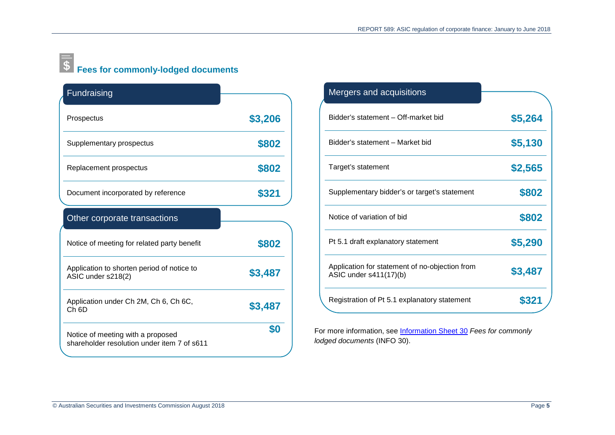# <span id="page-4-0"></span>**Fees for commonly-lodged documents**

| Fundraising                                                      |         |
|------------------------------------------------------------------|---------|
| Prospectus                                                       | \$3,206 |
| Supplementary prospectus                                         | \$802   |
| Replacement prospectus                                           | \$802   |
| Document incorporated by reference                               | \$321   |
| Other corporate transactions                                     |         |
| Notice of meeting for related party benefit                      |         |
|                                                                  | \$802   |
| Application to shorten period of notice to<br>ASIC under s218(2) | \$3,487 |
| Application under Ch 2M, Ch 6, Ch 6C,<br>Ch <sub>6D</sub>        | \$3,487 |

| Mergers and acquisitions                                                 |         |
|--------------------------------------------------------------------------|---------|
| Bidder's statement - Off-market bid                                      | \$5,264 |
| Bidder's statement - Market bid                                          | \$5,130 |
| Target's statement                                                       | \$2,565 |
| Supplementary bidder's or target's statement                             | \$802   |
| Notice of variation of bid                                               | \$802   |
| Pt 5.1 draft explanatory statement                                       | \$5,290 |
| Application for statement of no-objection from<br>ASIC under s411(17)(b) | \$3,487 |
| Registration of Pt 5.1 explanatory statement                             | \$321   |

For more information, see [Information Sheet 30](https://asic.gov.au/for-business/payments-fees-and-invoices/asic-fees/fees-for-commonly-lodged-documents/) *Fees for commonly lodged documents* (INFO 30).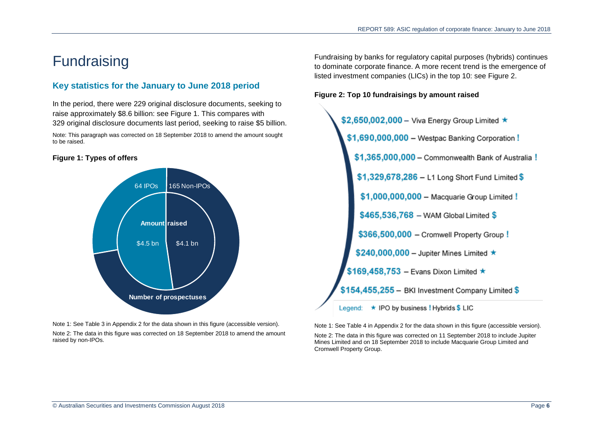## <span id="page-5-0"></span>**Fundraising**

## **Key statistics for the January to June 2018 period**

In the period, there were 229 original disclosure documents, seeking to raise approximately \$8.6 billion: see [Figure 1.](#page-5-1) This compares with 329 original disclosure documents last period, seeking to raise \$5 billion.

Note: This paragraph was corrected on 18 September 2018 to amend the amount sought to be raised.

#### <span id="page-5-1"></span>**Figure 1: Types of offers**



Note 1: Se[e Table 3](#page-25-1) in Appendix 2 for the data shown in this figure (accessible version).

Note 2: The data in this figure was corrected on 18 September 2018 to amend the amount raised by non-IPOs.

Fundraising by banks for regulatory capital purposes (hybrids) continues to dominate corporate finance. A more recent trend is the emergence of listed investment companies (LICs) in the top 10: see [Figure 2.](#page-5-2)

#### <span id="page-5-2"></span>**Figure 2: Top 10 fundraisings by amount raised**



Note 1: See [Table 4](#page-25-2) in Appendix 2 for the data shown in this figure (accessible version).

Note 2: The data in this figure was corrected on 11 September 2018 to include Jupiter Mines Limited and on 18 September 2018 to include Macquarie Group Limited and Cromwell Property Group.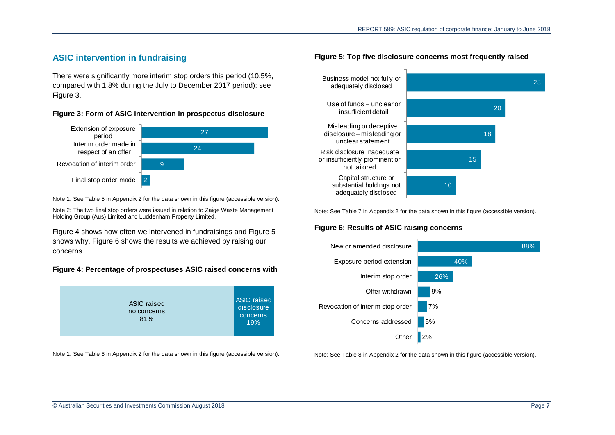## **ASIC intervention in fundraising**

There were significantly more interim stop orders this period (10.5%, compared with 1.8% during the July to December 2017 period): see [Figure 3.](#page-6-0)

#### <span id="page-6-0"></span>**Figure 3: Form of ASIC intervention in prospectus disclosure**



Note 1: Se[e Table 5](#page-25-3) in Appendix 2 for the data shown in this figure (accessible version).

Note 2: The two final stop orders were issued in relation to Zaige Waste Management Holding Group (Aus) Limited and Luddenham Property Limited.

[Figure 4](#page-6-1) shows how often we intervened in fundraisings and [Figure 5](#page-6-2) shows why. [Figure 6](#page-6-3) shows the results we achieved by raising our concerns.

#### <span id="page-6-1"></span>**Figure 4: Percentage of prospectuses ASIC raised concerns with**



Note 1: See [Table 6](#page-25-4) in Appendix 2 for the data shown in this figure (accessible version).

#### <span id="page-6-2"></span>**Figure 5: Top five disclosure concerns most frequently raised**



<span id="page-6-3"></span>Note: Se[e Table 7](#page-25-5) in Appendix 2 for the data shown in this figure (accessible version).

#### **Figure 6: Results of ASIC raising concerns**



Note: Se[e Table 8](#page-26-0) in Appendix 2 for the data shown in this figure (accessible version).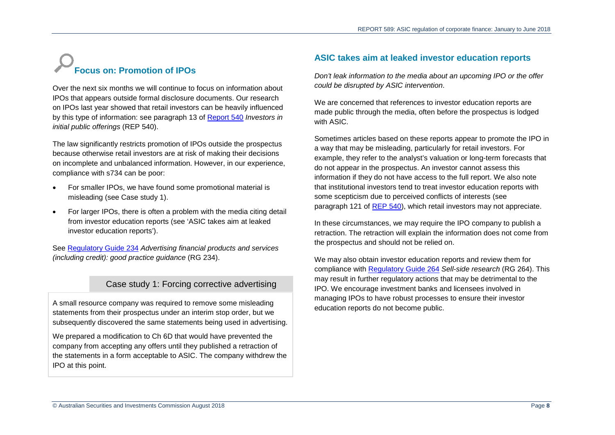# **Focus on: Promotion of IPOs**

Over the next six months we will continue to focus on information about IPOs that appears outside formal disclosure documents. Our research on IPOs last year showed that retail investors can be heavily influenced by this type of information: see paragraph 13 of [Report 540](https://asic.gov.au/regulatory-resources/find-a-document/reports/rep-540-investors-in-initial-public-offerings/) *Investors in initial public offerings* (REP 540).

The law significantly restricts promotion of IPOs outside the prospectus because otherwise retail investors are at risk of making their decisions on incomplete and unbalanced information. However, in our experience, compliance with s734 can be poor:

- For smaller IPOs, we have found some promotional material is misleading (see [Case study 1\)](#page-7-0).
- For larger IPOs, there is often a problem with the media citing detail from investor education reports (see ['ASIC takes aim at leaked](#page-7-1)  [investor education reports'\)](#page-7-1).

<span id="page-7-0"></span>See [Regulatory Guide 234](https://asic.gov.au/regulatory-resources/find-a-document/regulatory-guides/rg-234-advertising-financial-products-and-services-including-credit-good-practice-guidance/) *Advertising financial products and services (including credit): good practice guidance* (RG 234).

## Case study 1: Forcing corrective advertising

A small resource company was required to remove some misleading statements from their prospectus under an interim stop order, but we subsequently discovered the same statements being used in advertising.

We prepared a modification to Ch 6D that would have prevented the company from accepting any offers until they published a retraction of the statements in a form acceptable to ASIC. The company withdrew the IPO at this point.

## <span id="page-7-1"></span>**ASIC takes aim at leaked investor education reports**

*Don't leak information to the media about an upcoming IPO or the offer could be disrupted by ASIC intervention*.

We are concerned that references to investor education reports are made public through the media, often before the prospectus is lodged with ASIC.

Sometimes articles based on these reports appear to promote the IPO in a way that may be misleading, particularly for retail investors. For example, they refer to the analyst's valuation or long-term forecasts that do not appear in the prospectus. An investor cannot assess this information if they do not have access to the full report. We also note that institutional investors tend to treat investor education reports with some scepticism due to perceived conflicts of interests (see paragraph 121 of [REP 540\)](https://asic.gov.au/regulatory-resources/find-a-document/reports/rep-540-investors-in-initial-public-offerings/), which retail investors may not appreciate.

In these circumstances, we may require the IPO company to publish a retraction. The retraction will explain the information does not come from the prospectus and should not be relied on.

We may also obtain investor education reports and review them for compliance with [Regulatory Guide](https://asic.gov.au/regulatory-resources/find-a-document/regulatory-guides/rg-264-sell-side-research/) 264 *Sell-side research* (RG 264). This may result in further regulatory actions that may be detrimental to the IPO. We encourage investment banks and licensees involved in managing IPOs to have robust processes to ensure their investor education reports do not become public.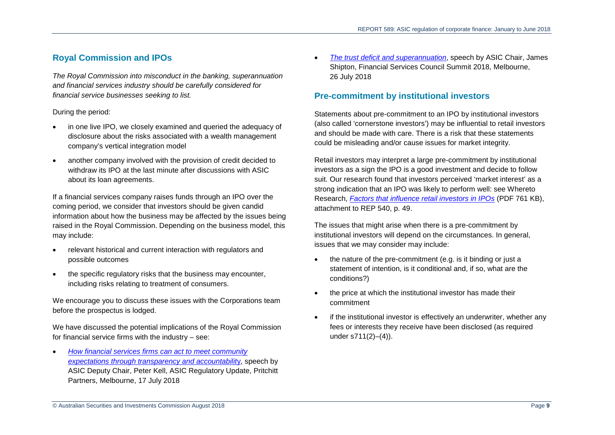## **Royal Commission and IPOs**

*The Royal Commission into misconduct in the banking, superannuation and financial services industry should be carefully considered for financial service businesses seeking to list.* 

#### During the period:

- in one live IPO, we closely examined and queried the adequacy of disclosure about the risks associated with a wealth management company's vertical integration model
- another company involved with the provision of credit decided to withdraw its IPO at the last minute after discussions with ASIC about its loan agreements.

If a financial services company raises funds through an IPO over the coming period, we consider that investors should be given candid information about how the business may be affected by the issues being raised in the Royal Commission. Depending on the business model, this may include:

- relevant historical and current interaction with regulators and possible outcomes
- the specific regulatory risks that the business may encounter, including risks relating to treatment of consumers.

We encourage you to discuss these issues with the Corporations team before the prospectus is lodged.

We have discussed the potential implications of the Royal Commission for financial service firms with the industry – see:

• *[How financial services firms can act to meet community](https://asic.gov.au/about-asic/media-centre/speeches/how-financial-services-firms-can-act-to-meet-community-expectations-through-transparency-and-accountability/)  [expectations through transparency and accountabilit](https://asic.gov.au/about-asic/media-centre/speeches/how-financial-services-firms-can-act-to-meet-community-expectations-through-transparency-and-accountability/)*y, speech by ASIC Deputy Chair, Peter Kell, ASIC Regulatory Update, Pritchitt Partners, Melbourne, 17 July 2018

• *[The trust deficit and superannuation](https://asic.gov.au/about-asic/media-centre/speeches/the-trust-deficit-and-superannuation/)*, speech by ASIC Chair, James Shipton, Financial Services Council Summit 2018, Melbourne, 26 July 2018

## **Pre-commitment by institutional investors**

Statements about pre-commitment to an IPO by institutional investors (also called 'cornerstone investors') may be influential to retail investors and should be made with care. There is a risk that these statements could be misleading and/or cause issues for market integrity.

Retail investors may interpret a large pre-commitment by institutional investors as a sign the IPO is a good investment and decide to follow suit. Our research found that investors perceived 'market interest' as a strong indication that an IPO was likely to perform well: see Whereto Research, *[Factors that influence retail investors in IPOs](https://download.asic.gov.au/media/4431769/rep540-attachment-published-31-august-2017.pdf)* (PDF 761 KB), attachment to REP 540, p. 49.

The issues that might arise when there is a pre-commitment by institutional investors will depend on the circumstances. In general, issues that we may consider may include:

- the nature of the pre-commitment (e.g. is it binding or just a statement of intention, is it conditional and, if so, what are the conditions?)
- the price at which the institutional investor has made their commitment
- if the institutional investor is effectively an underwriter, whether any fees or interests they receive have been disclosed (as required under s711(2)–(4)).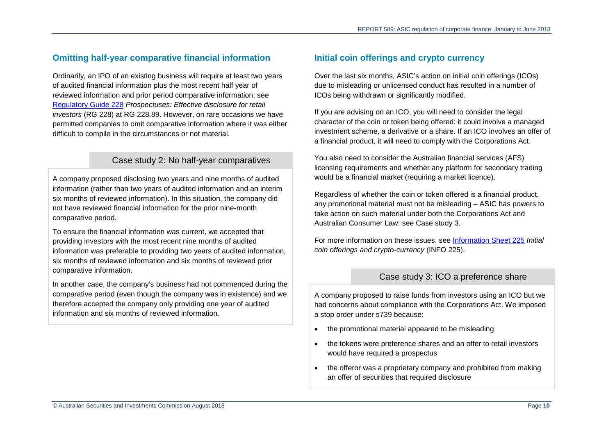## **Omitting half-year comparative financial information**

Ordinarily, an IPO of an existing business will require at least two years of audited financial information plus the most recent half year of reviewed information and prior period comparative information: see [Regulatory Guide 228](https://asic.gov.au/regulatory-resources/find-a-document/regulatory-guides/rg-228-prospectuses-effective-disclosure-for-retail-investors/) *Prospectuses: Effective disclosure for retail investors* (RG 228) at RG 228.89. However, on rare occasions we have permitted companies to omit comparative information where it was either difficult to compile in the circumstances or not material.

## Case study 2: No half-year comparatives

A company proposed disclosing two years and nine months of audited information (rather than two years of audited information and an interim six months of reviewed information). In this situation, the company did not have reviewed financial information for the prior nine-month comparative period.

To ensure the financial information was current, we accepted that providing investors with the most recent nine months of audited information was preferable to providing two years of audited information, six months of reviewed information and six months of reviewed prior comparative information.

In another case, the company's business had not commenced during the comparative period (even though the company was in existence) and we therefore accepted the company only providing one year of audited information and six months of reviewed information.

## **Initial coin offerings and crypto currency**

Over the last six months, ASIC's action on initial coin offerings (ICOs) due to misleading or unlicensed conduct has resulted in a number of ICOs being withdrawn or significantly modified.

If you are advising on an ICO, you will need to consider the legal character of the coin or token being offered: it could involve a managed investment scheme, a derivative or a share. If an ICO involves an offer of a financial product, it will need to comply with the Corporations Act.

You also need to consider the Australian financial services (AFS) licensing requirements and whether any platform for secondary trading would be a financial market (requiring a market licence).

Regardless of whether the coin or token offered is a financial product, any promotional material must not be misleading – ASIC has powers to take action on such material under both the Corporations Act and Australian Consumer Law: see [Case study 3.](#page-9-0)

<span id="page-9-0"></span>For more information on these issues, see [Information](https://asic.gov.au/regulatory-resources/digital-transformation/initial-coin-offerings-and-crypto-currency/) Sheet 225 *Initial coin offerings and crypto-currency* (INFO 225).

## Case study 3: ICO a preference share

A company proposed to raise funds from investors using an ICO but we had concerns about compliance with the Corporations Act. We imposed a stop order under s739 because:

- the promotional material appeared to be misleading
- the tokens were preference shares and an offer to retail investors would have required a prospectus
- the offeror was a proprietary company and prohibited from making an offer of securities that required disclosure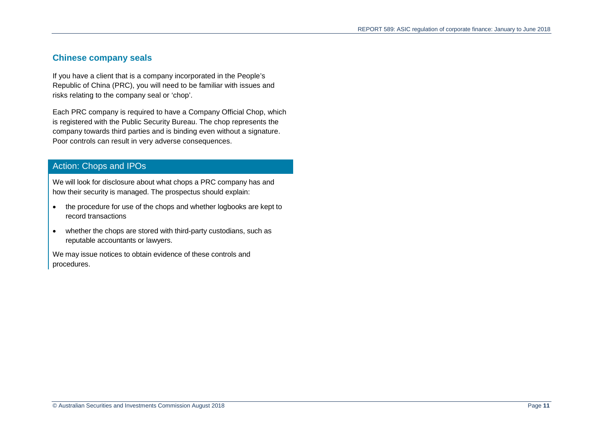## **Chinese company seals**

If you have a client that is a company incorporated in the People's Republic of China (PRC), you will need to be familiar with issues and risks relating to the company seal or 'chop'.

Each PRC company is required to have a Company Official Chop, which is registered with the Public Security Bureau. The chop represents the company towards third parties and is binding even without a signature. Poor controls can result in very adverse consequences.

## Action: Chops and IPOs

We will look for disclosure about what chops a PRC company has and how their security is managed. The prospectus should explain:

- the procedure for use of the chops and whether logbooks are kept to record transactions
- whether the chops are stored with third-party custodians, such as reputable accountants or lawyers.

We may issue notices to obtain evidence of these controls and procedures.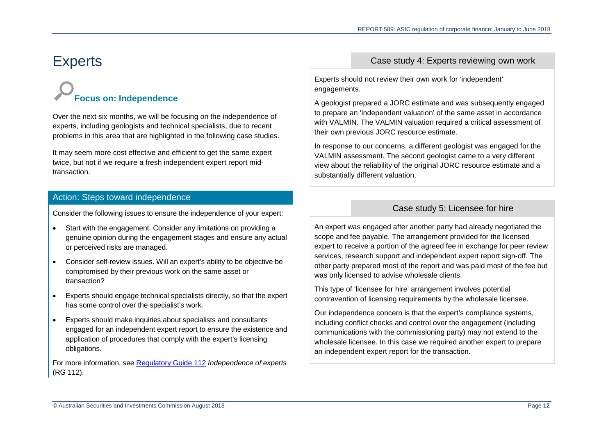# <span id="page-11-0"></span>**Experts**

# **Focus on: Independence**

Over the next six months, we will be focusing on the independence of experts, including geologists and technical specialists, due to recent problems in this area that are highlighted in the following case studies.

It may seem more cost effective and efficient to get the same expert twice, but not if we require a fresh independent expert report midtransaction.

## Action: Steps toward independence

Consider the following issues to ensure the independence of your expert:

- Start with the engagement. Consider any limitations on providing a genuine opinion during the engagement stages and ensure any actual or perceived risks are managed.
- Consider self-review issues. Will an expert's ability to be objective be compromised by their previous work on the same asset or transaction?
- Experts should engage technical specialists directly, so that the expert has some control over the specialist's work.
- Experts should make inquiries about specialists and consultants engaged for an independent expert report to ensure the existence and application of procedures that comply with the expert's licensing obligations.

For more information, see [Regulatory Guide 112](https://asic.gov.au/regulatory-resources/find-a-document/regulatory-guides/rg-112-independence-of-experts/) *Independence of experts* (RG 112).

## Case study 4: Experts reviewing own work

Experts should not review their own work for 'independent' engagements.

A geologist prepared a JORC estimate and was subsequently engaged to prepare an 'independent valuation' of the same asset in accordance with VALMIN. The VALMIN valuation required a critical assessment of their own previous JORC resource estimate.

In response to our concerns, a different geologist was engaged for the VALMIN assessment. The second geologist came to a very different view about the reliability of the original JORC resource estimate and a substantially different valuation.

## Case study 5: Licensee for hire

An expert was engaged after another party had already negotiated the scope and fee payable. The arrangement provided for the licensed expert to receive a portion of the agreed fee in exchange for peer review services, research support and independent expert report sign-off. The other party prepared most of the report and was paid most of the fee but was only licensed to advise wholesale clients.

This type of 'licensee for hire' arrangement involves potential contravention of licensing requirements by the wholesale licensee.

Our independence concern is that the expert's compliance systems, including conflict checks and control over the engagement (including communications with the commissioning party) may not extend to the wholesale licensee. In this case we required another expert to prepare an independent expert report for the transaction.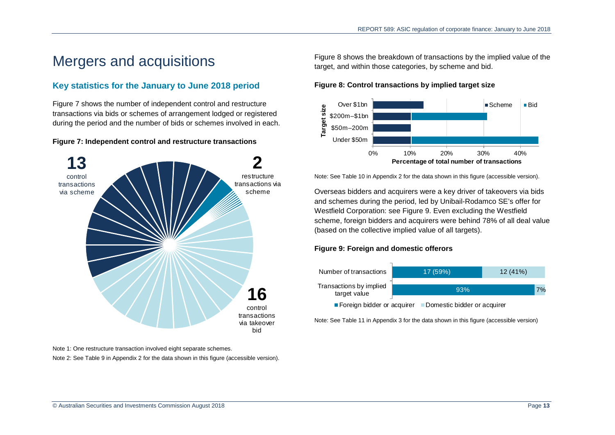## <span id="page-12-0"></span>Mergers and acquisitions

## **Key statistics for the January to June 2018 period**

[Figure 7](#page-12-1) shows the number of independent control and restructure transactions via bids or schemes of arrangement lodged or registered during the period and the number of bids or schemes involved in each.

#### <span id="page-12-1"></span>**Figure 7: Independent control and restructure transactions**



Note 1: One restructure transaction involved eight separate schemes.

Note 2: Se[e Table 9](#page-26-1) in Appendix 2 for the data shown in this figure (accessible version).

[Figure 8](#page-12-2) shows the breakdown of transactions by the implied value of the target, and within those categories, by scheme and bid.

#### <span id="page-12-2"></span>**Figure 8: Control transactions by implied target size**



Note: Se[e Table 10](#page-26-2) in Appendix 2 for the data shown in this figure (accessible version).

Overseas bidders and acquirers were a key driver of takeovers via bids and schemes during the period, led by Unibail-Rodamco SE's offer for Westfield Corporation: see [Figure 9.](#page-12-3) Even excluding the Westfield scheme, foreign bidders and acquirers were behind 78% of all deal value (based on the collective implied value of all targets).

#### <span id="page-12-3"></span>**Figure 9: Foreign and domestic offerors**



Note: Se[e Table 11](#page-26-3) in Appendix 3 for the data shown in this figure (accessible version)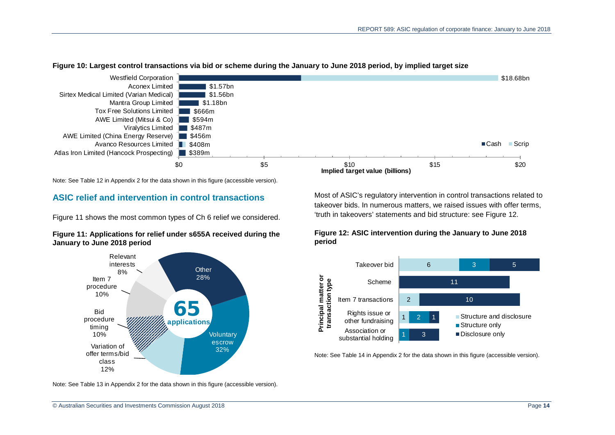

#### <span id="page-13-2"></span>**Figure 10: Largest control transactions via bid or scheme during the January to June 2018 period, by implied target size**

Note: See [Table 12](#page-26-4) in Appendix 2 for the data shown in this figure (accessible version).

## **ASIC relief and intervention in control transactions**

[Figure](#page-13-0) 11 shows the most common types of Ch 6 relief we considered.

#### <span id="page-13-0"></span>**Figure 11: Applications for relief under s655A received during the January to June 2018 period**



Note: See [Table 13](#page-27-0) in Appendix 2 for the data shown in this figure (accessible version).

Most of ASIC's regulatory intervention in control transactions related to takeover bids. In numerous matters, we raised issues with offer terms, 'truth in takeovers' statements and bid structure: see [Figure](#page-13-1) 12.

#### <span id="page-13-1"></span>**Figure 12: ASIC intervention during the January to June 2018 period**



Note: Se[e Table 14](#page-27-1) in Appendix 2 for the data shown in this figure (accessible version).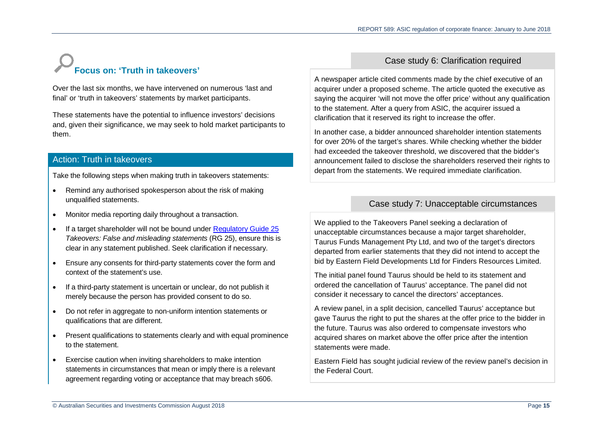# **Focus on: 'Truth in takeovers'**

Over the last six months, we have intervened on numerous 'last and final' or 'truth in takeovers' statements by market participants.

These statements have the potential to influence investors' decisions and, given their significance, we may seek to hold market participants to them.

## Action: Truth in takeovers

Take the following steps when making truth in takeovers statements:

- Remind any authorised spokesperson about the risk of making unqualified statements.
- Monitor media reporting daily throughout a transaction.
- If a target shareholder will not be bound under [Regulatory Guide 25](https://asic.gov.au/regulatory-resources/find-a-document/regulatory-guides/rg-25-takeovers-false-and-misleading-statements/) *Takeovers: False and misleading statements* (RG 25), ensure this is clear in any statement published. Seek clarification if necessary.
- Ensure any consents for third-party statements cover the form and context of the statement's use.
- If a third-party statement is uncertain or unclear, do not publish it merely because the person has provided consent to do so.
- Do not refer in aggregate to non-uniform intention statements or qualifications that are different.
- Present qualifications to statements clearly and with equal prominence to the statement.
- Exercise caution when inviting shareholders to make intention statements in circumstances that mean or imply there is a relevant agreement regarding voting or acceptance that may breach s606.

## Case study 6: Clarification required

A newspaper article cited comments made by the chief executive of an acquirer under a proposed scheme. The article quoted the executive as saying the acquirer 'will not move the offer price' without any qualification to the statement. After a query from ASIC, the acquirer issued a clarification that it reserved its right to increase the offer.

In another case, a bidder announced shareholder intention statements for over 20% of the target's shares. While checking whether the bidder had exceeded the takeover threshold, we discovered that the bidder's announcement failed to disclose the shareholders reserved their rights to depart from the statements. We required immediate clarification.

## Case study 7: Unacceptable circumstances

We applied to the Takeovers Panel seeking a declaration of unacceptable circumstances because a major target shareholder, Taurus Funds Management Pty Ltd, and two of the target's directors departed from earlier statements that they did not intend to accept the bid by Eastern Field Developments Ltd for Finders Resources Limited.

The initial panel found Taurus should be held to its statement and ordered the cancellation of Taurus' acceptance. The panel did not consider it necessary to cancel the directors' acceptances.

A review panel, in a split decision, cancelled Taurus' acceptance but gave Taurus the right to put the shares at the offer price to the bidder in the future. Taurus was also ordered to compensate investors who acquired shares on market above the offer price after the intention statements were made.

Eastern Field has sought judicial review of the review panel's decision in the Federal Court.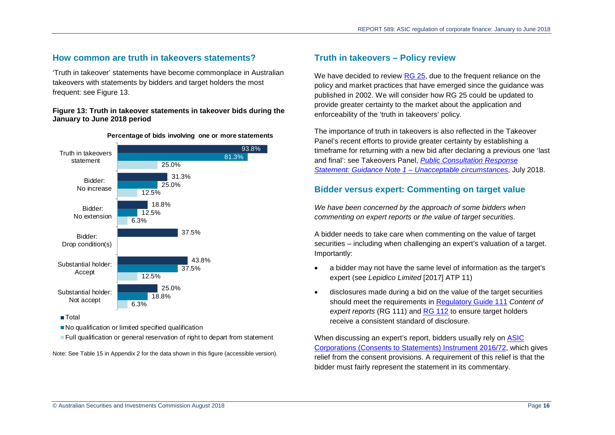#### **How common are truth in takeovers statements?**

'Truth in takeover' statements have become commonplace in Australian takeovers with statements by bidders and target holders the most frequent: see [Figure](#page-15-0) 13.

#### <span id="page-15-0"></span>**Figure 13: Truth in takeover statements in takeover bids during the January to June 2018 period**



**Percentage of bids involving one or more statements**

**Total** 

No qualification or limited specified qualification

**Full qualification or general reservation of right to depart from statement** 

Note: See [Table 15](#page-27-2) in Appendix 2 for the data shown in this figure (accessible version).

### **Truth in takeovers – Policy review**

We have decided to review [RG 25,](https://asic.gov.au/regulatory-resources/find-a-document/regulatory-guides/rg-25-takeovers-false-and-misleading-statements/) due to the frequent reliance on the policy and market practices that have emerged since the guidance was published in 2002. We will consider how RG 25 could be updated to provide greater certainty to the market about the application and enforceability of the 'truth in takeovers' policy.

The importance of truth in takeovers is also reflected in the Takeover Panel's recent efforts to provide greater certainty by establishing a timeframe for returning with a new bid after declaring a previous one 'last and final': see Takeovers Panel, *[Public Consultation Response](https://takeovers.gov.au/content/DisplayDoc.aspx?doc=consultation/061.htm&pageID=&Year=)  [Statement: Guidance Note 1 – Unacceptable circumstances](https://takeovers.gov.au/content/DisplayDoc.aspx?doc=consultation/061.htm&pageID=&Year=)*, July 2018.

#### **Bidder versus expert: Commenting on target value**

*We have been concerned by the approach of some bidders when commenting on expert reports or the value of target securities*.

A bidder needs to take care when commenting on the value of target securities – including when challenging an expert's valuation of a target. Importantly:

- a bidder may not have the same level of information as the target's expert (see *Lepidico Limited* [2017] ATP 11)
- disclosures made during a bid on the value of the target securities should meet the requirements in [Regulatory Guide 111](https://asic.gov.au/regulatory-resources/find-a-document/regulatory-guides/rg-111-content-of-expert-reports/) *Content of expert reports* (RG 111) and [RG 112](https://asic.gov.au/regulatory-resources/find-a-document/regulatory-guides/rg-112-independence-of-experts/) to ensure target holders receive a consistent standard of disclosure.

When discussing an expert's report, bidders usually rely on [ASIC](https://www.legislation.gov.au/Details/F2017C00928)  [Corporations \(Consents to Statements\) Instrument 2016/72,](https://www.legislation.gov.au/Details/F2017C00928) which gives relief from the consent provisions. A requirement of this relief is that the bidder must fairly represent the statement in its commentary.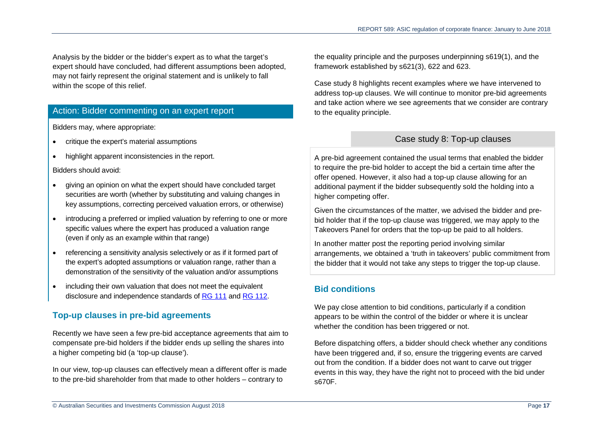Analysis by the bidder or the bidder's expert as to what the target's expert should have concluded, had different assumptions been adopted, may not fairly represent the original statement and is unlikely to fall within the scope of this relief.

## Action: Bidder commenting on an expert report

Bidders may, where appropriate:

- critique the expert's material assumptions
- highlight apparent inconsistencies in the report.

Bidders should avoid:

- giving an opinion on what the expert should have concluded target securities are worth (whether by substituting and valuing changes in key assumptions, correcting perceived valuation errors, or otherwise)
- introducing a preferred or implied valuation by referring to one or more specific values where the expert has produced a valuation range (even if only as an example within that range)
- referencing a sensitivity analysis selectively or as if it formed part of the expert's adopted assumptions or valuation range, rather than a demonstration of the sensitivity of the valuation and/or assumptions
- including their own valuation that does not meet the equivalent disclosure and independence standards of [RG 111](https://asic.gov.au/regulatory-resources/find-a-document/regulatory-guides/rg-111-content-of-expert-reports/) and [RG 112.](https://asic.gov.au/regulatory-resources/find-a-document/regulatory-guides/rg-112-independence-of-experts/)

## **Top-up clauses in pre-bid agreements**

Recently we have seen a few pre-bid acceptance agreements that aim to compensate pre-bid holders if the bidder ends up selling the shares into a higher competing bid (a 'top-up clause').

In our view, top-up clauses can effectively mean a different offer is made to the pre-bid shareholder from that made to other holders – contrary to

the equality principle and the purposes underpinning s619(1), and the framework established by s621(3), 622 and 623.

[Case study 8](#page-16-0) highlights recent examples where we have intervened to address top-up clauses. We will continue to monitor pre-bid agreements and take action where we see agreements that we consider are contrary to the equality principle.

## Case study 8: Top-up clauses

<span id="page-16-0"></span>A pre-bid agreement contained the usual terms that enabled the bidder to require the pre-bid holder to accept the bid a certain time after the offer opened. However, it also had a top-up clause allowing for an additional payment if the bidder subsequently sold the holding into a higher competing offer.

Given the circumstances of the matter, we advised the bidder and prebid holder that if the top-up clause was triggered, we may apply to the Takeovers Panel for orders that the top-up be paid to all holders.

In another matter post the reporting period involving similar arrangements, we obtained a 'truth in takeovers' public commitment from the bidder that it would not take any steps to trigger the top-up clause.

## **Bid conditions**

We pay close attention to bid conditions, particularly if a condition appears to be within the control of the bidder or where it is unclear whether the condition has been triggered or not.

Before dispatching offers, a bidder should check whether any conditions have been triggered and, if so, ensure the triggering events are carved out from the condition. If a bidder does not want to carve out trigger events in this way, they have the right not to proceed with the bid under s670F.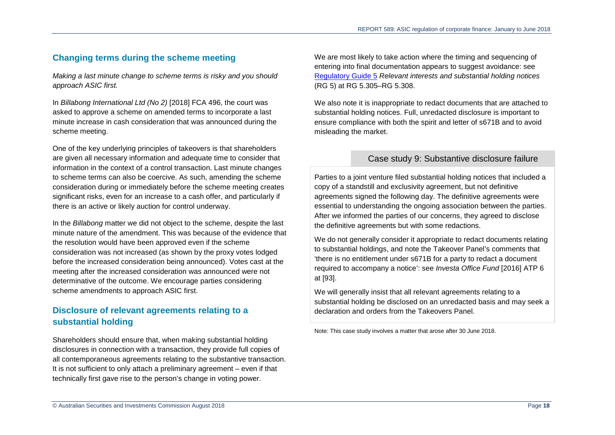## **Changing terms during the scheme meeting**

*Making a last minute change to scheme terms is risky and you should approach ASIC first.* 

In *Billabong International Ltd (No 2)* [2018] FCA 496, the court was asked to approve a scheme on amended terms to incorporate a last minute increase in cash consideration that was announced during the scheme meeting.

One of the key underlying principles of takeovers is that shareholders are given all necessary information and adequate time to consider that information in the context of a control transaction. Last minute changes to scheme terms can also be coercive. As such, amending the scheme consideration during or immediately before the scheme meeting creates significant risks, even for an increase to a cash offer, and particularly if there is an active or likely auction for control underway.

In the *Billabong* matter we did not object to the scheme, despite the last minute nature of the amendment. This was because of the evidence that the resolution would have been approved even if the scheme consideration was not increased (as shown by the proxy votes lodged before the increased consideration being announced). Votes cast at the meeting after the increased consideration was announced were not determinative of the outcome. We encourage parties considering scheme amendments to approach ASIC first.

## **Disclosure of relevant agreements relating to a substantial holding**

Shareholders should ensure that, when making substantial holding disclosures in connection with a transaction, they provide full copies of all contemporaneous agreements relating to the substantive transaction. It is not sufficient to only attach a preliminary agreement – even if that technically first gave rise to the person's change in voting power.

We are most likely to take action where the timing and sequencing of entering into final documentation appears to suggest avoidance: see [Regulatory](https://asic.gov.au/regulatory-resources/find-a-document/regulatory-guides/rg-5-relevant-interests-and-substantial-holding-notices/) Guide 5 *Relevant interests and substantial holding notices* (RG 5) at RG 5.305–RG 5.308.

We also note it is inappropriate to redact documents that are attached to substantial holding notices. Full, unredacted disclosure is important to ensure compliance with both the spirit and letter of s671B and to avoid misleading the market.

## Case study 9: Substantive disclosure failure

Parties to a joint venture filed substantial holding notices that included a copy of a standstill and exclusivity agreement, but not definitive agreements signed the following day. The definitive agreements were essential to understanding the ongoing association between the parties. After we informed the parties of our concerns, they agreed to disclose the definitive agreements but with some redactions.

We do not generally consider it appropriate to redact documents relating to substantial holdings, and note the Takeover Panel's comments that 'there is no entitlement under s671B for a party to redact a document required to accompany a notice': see *Investa Office Fund* [2016] ATP 6 at [93].

We will generally insist that all relevant agreements relating to a substantial holding be disclosed on an unredacted basis and may seek a declaration and orders from the Takeovers Panel.

Note: This case study involves a matter that arose after 30 June 2018.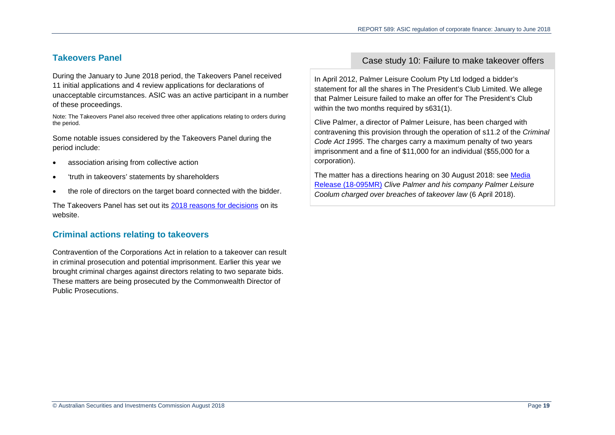## **Takeovers Panel**

During the January to June 2018 period, the Takeovers Panel received 11 initial applications and 4 review applications for declarations of unacceptable circumstances. ASIC was an active participant in a number of these proceedings.

Note: The Takeovers Panel also received three other applications relating to orders during the period.

Some notable issues considered by the Takeovers Panel during the period include:

- association arising from collective action
- 'truth in takeovers' statements by shareholders
- the role of directors on the target board connected with the bidder.

The Takeovers Panel has set out its [2018 reasons for decisions](http://www.takeovers.gov.au/content/ListDocuments.aspx?Doctype=RD) on its website.

## **Criminal actions relating to takeovers**

Contravention of the Corporations Act in relation to a takeover can result in criminal prosecution and potential imprisonment. Earlier this year we brought criminal charges against directors relating to two separate bids. These matters are being prosecuted by the Commonwealth Director of Public Prosecutions.

## Case study 10: Failure to make takeover offers

In April 2012, Palmer Leisure Coolum Pty Ltd lodged a bidder's statement for all the shares in The President's Club Limited. We allege that Palmer Leisure failed to make an offer for The President's Club within the two months required by s631(1).

Clive Palmer, a director of Palmer Leisure, has been charged with contravening this provision through the operation of s11.2 of the *Criminal Code Act 1995*. The charges carry a maximum penalty of two years imprisonment and a fine of \$11,000 for an individual (\$55,000 for a corporation).

The matter has a directions hearing on 30 August 2018: see [Media](https://asic.gov.au/about-asic/media-centre/find-a-media-release/2018-releases/18-095mr-clive-palmer-and-his-company-palmer-leisure-coolum-charged-over-breaches-of-takeover-law/)  [Release \(18-095MR\)](https://asic.gov.au/about-asic/media-centre/find-a-media-release/2018-releases/18-095mr-clive-palmer-and-his-company-palmer-leisure-coolum-charged-over-breaches-of-takeover-law/) *Clive Palmer and his company Palmer Leisure Coolum charged over breaches of takeover law* (6 April 2018).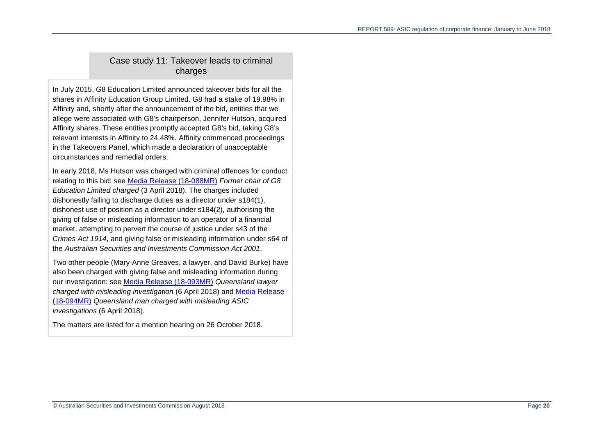## Case study 11: Takeover leads to criminal charges

In July 2015, G8 Education Limited announced takeover bids for all the shares in Affinity Education Group Limited. G8 had a stake of 19.98% in Affinity and, shortly after the announcement of the bid, entities that we allege were associated with G8's chairperson, Jennifer Hutson, acquired Affinity shares. These entities promptly accepted G8's bid, taking G8's relevant interests in Affinity to 24.48%. Affinity commenced proceedings in the Takeovers Panel, which made a declaration of unacceptable circumstances and remedial orders.

In early 2018, Ms Hutson was charged with criminal offences for conduct relating to this bid: see [Media Release \(18-088MR\)](https://asic.gov.au/about-asic/media-centre/find-a-media-release/2018-releases/18-088mr-former-chair-of-g8-education-limited-charged/) *Former chair of G8 Education Limited charged* (3 April 2018). The charges included dishonestly failing to discharge duties as a director under s184(1), dishonest use of position as a director under s184(2), authorising the giving of false or misleading information to an operator of a financial market, attempting to pervert the course of justice under s43 of the *Crimes Act 1914*, and giving false or misleading information under s64 of the *Australian Securities and Investments Commission Act 2001*.

Two other people (Mary-Anne Greaves, a lawyer, and David Burke) have also been charged with giving false and misleading information during our investigation: see [Media Release \(18-093MR\)](https://asic.gov.au/about-asic/media-centre/find-a-media-release/2018-releases/18-093mr-queensland-lawyer-charged-with-misleading-investigation/) *Queensland lawyer charged with misleading investigation* (6 April 2018) and [Media Release](https://asic.gov.au/about-asic/media-centre/find-a-media-release/2018-releases/18-094mr-queensland-man-charged-with-misleading-asic-investigation/)  [\(18-094MR\)](https://asic.gov.au/about-asic/media-centre/find-a-media-release/2018-releases/18-094mr-queensland-man-charged-with-misleading-asic-investigation/) *Queensland man charged with misleading ASIC investigations* (6 April 2018).

The matters are listed for a mention hearing on 26 October 2018.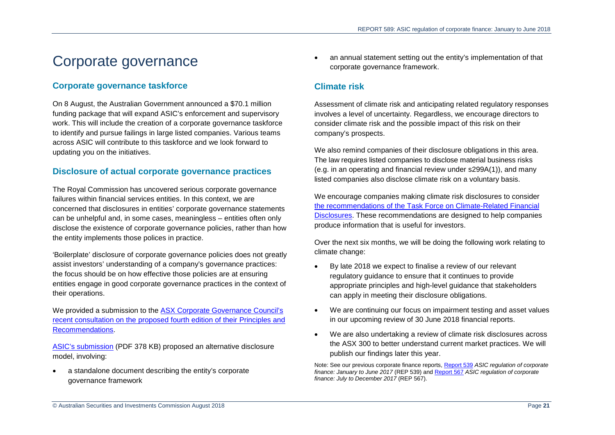# <span id="page-20-0"></span>Corporate governance

## **Corporate governance taskforce**

On 8 August, the Australian Government announced a \$70.1 million funding package that will expand ASIC's enforcement and supervisory work. This will include the creation of a corporate governance taskforce to identify and pursue failings in large listed companies. Various teams across ASIC will contribute to this taskforce and we look forward to updating you on the initiatives.

## **Disclosure of actual corporate governance practices**

The Royal Commission has uncovered serious corporate governance failures within financial services entities. In this context, we are concerned that disclosures in entities' corporate governance statements can be unhelpful and, in some cases, meaningless – entities often only disclose the existence of corporate governance policies, rather than how the entity implements those polices in practice.

'Boilerplate' disclosure of corporate governance policies does not greatly assist investors' understanding of a company's governance practices: the focus should be on how effective those policies are at ensuring entities engage in good corporate governance practices in the context of their operations.

We provided a submission to the [ASX Corporate Governance Council's](https://www.asx.com.au/regulation/corporate-governance-council/review-and-submissions.htm)  [recent consultation on the proposed fourth edition of their Principles and](https://www.asx.com.au/regulation/corporate-governance-council/review-and-submissions.htm)  [Recommendations.](https://www.asx.com.au/regulation/corporate-governance-council/review-and-submissions.htm)

[ASIC's submission](https://www.asx.com.au/images/research/Australian-Securities-and-Investments-Commission.pdf) (PDF 378 KB) proposed an alternative disclosure model, involving:

• a standalone document describing the entity's corporate governance framework

• an annual statement setting out the entity's implementation of that corporate governance framework.

## **Climate risk**

Assessment of climate risk and anticipating related regulatory responses involves a level of uncertainty. Regardless, we encourage directors to consider climate risk and the possible impact of this risk on their company's prospects.

We also remind companies of their disclosure obligations in this area. The law requires listed companies to disclose material business risks (e.g. in an operating and financial review under s299A(1)), and many listed companies also disclose climate risk on a voluntary basis.

We encourage companies making climate risk disclosures to consider [the recommendations of the Task Force on Climate-Related Financial](https://www.fsb-tcfd.org/publications/)  [Disclosures.](https://www.fsb-tcfd.org/publications/) These recommendations are designed to help companies produce information that is useful for investors.

Over the next six months, we will be doing the following work relating to climate change:

- By late 2018 we expect to finalise a review of our relevant regulatory guidance to ensure that it continues to provide appropriate principles and high-level guidance that stakeholders can apply in meeting their disclosure obligations.
- We are continuing our focus on impairment testing and asset values in our upcoming review of 30 June 2018 financial reports.
- We are also undertaking a review of climate risk disclosures across the ASX 300 to better understand current market practices. We will publish our findings later this year.

Note: See our previous corporate finance reports, [Report 539](https://asic.gov.au/regulatory-resources/find-a-document/reports/rep-539-asic-regulation-of-corporate-finance-january-to-june-2017/) *ASIC regulation of corporate finance: January to June 2017* (REP 539) and [Report 567](https://asic.gov.au/regulatory-resources/find-a-document/reports/rep-567-asic-regulation-of-corporate-finance-july-to-december-2017/) *ASIC regulation of corporate finance: July to December 2017* (REP 567).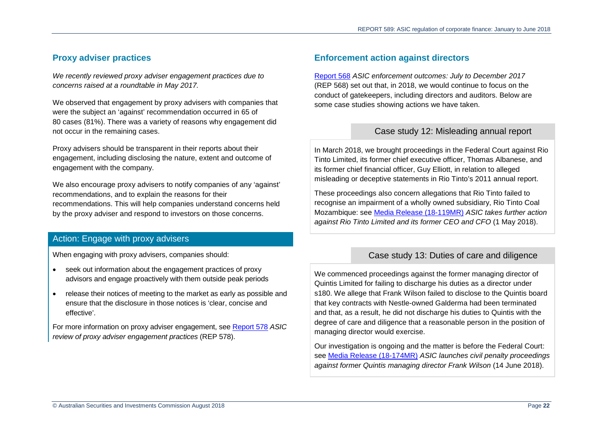## **Proxy adviser practices**

*We recently reviewed proxy adviser engagement practices due to concerns raised at a roundtable in May 2017.*

We observed that engagement by proxy advisers with companies that were the subject an 'against' recommendation occurred in 65 of 80 cases (81%). There was a variety of reasons why engagement did not occur in the remaining cases.

Proxy advisers should be transparent in their reports about their engagement, including disclosing the nature, extent and outcome of engagement with the company.

We also encourage proxy advisers to notify companies of any 'against' recommendations, and to explain the reasons for their recommendations. This will help companies understand concerns held by the proxy adviser and respond to investors on those concerns.

## Action: Engage with proxy advisers

When engaging with proxy advisers, companies should:

- seek out information about the engagement practices of proxy advisors and engage proactively with them outside peak periods
- release their notices of meeting to the market as early as possible and ensure that the disclosure in those notices is 'clear, concise and effective'.

For more information on proxy adviser engagement, see [Report 578](https://asic.gov.au/regulatory-resources/find-a-document/reports/rep-578-asic-review-of-proxy-adviser-engagement-practices/) *ASIC review of proxy adviser engagement practices* (REP 578).

## **Enforcement action against directors**

[Report 568](https://asic.gov.au/regulatory-resources/find-a-document/reports/rep-568-asic-enforcement-outcomes-july-to-december-2017/) *ASIC enforcement outcomes: July to December 2017* (REP 568) set out that, in 2018, we would continue to focus on the conduct of gatekeepers, including directors and auditors. Below are some case studies showing actions we have taken.

## Case study 12: Misleading annual report

In March 2018, we brought proceedings in the Federal Court against Rio Tinto Limited, its former chief executive officer, Thomas Albanese, and its former chief financial officer, Guy Elliott, in relation to alleged misleading or deceptive statements in Rio Tinto's 2011 annual report.

These proceedings also concern allegations that Rio Tinto failed to recognise an impairment of a wholly owned subsidiary, Rio Tinto Coal Mozambique: see [Media Release \(18-119MR\)](https://asic.gov.au/about-asic/media-centre/find-a-media-release/2018-releases/18-119mr-asic-takes-further-action-against-rio-tinto-limited-and-its-former-ceo-and-cfo/) *ASIC takes further action against Rio Tinto Limited and its former CEO and CFO* (1 May 2018).

## Case study 13: Duties of care and diligence

We commenced proceedings against the former managing director of Quintis Limited for failing to discharge his duties as a director under s180. We allege that Frank Wilson failed to disclose to the Quintis board that key contracts with Nestle-owned Galderma had been terminated and that, as a result, he did not discharge his duties to Quintis with the degree of care and diligence that a reasonable person in the position of managing director would exercise.

Our investigation is ongoing and the matter is before the Federal Court: see [Media Release \(18-174MR\)](https://asic.gov.au/about-asic/media-centre/find-a-media-release/2018-releases/18-174mr-asic-launches-civil-penalty-proceedings-against-former-quintis-managing-director-frank-wilson/) *ASIC launches civil penalty proceedings against former Quintis managing director Frank Wilson* (14 June 2018).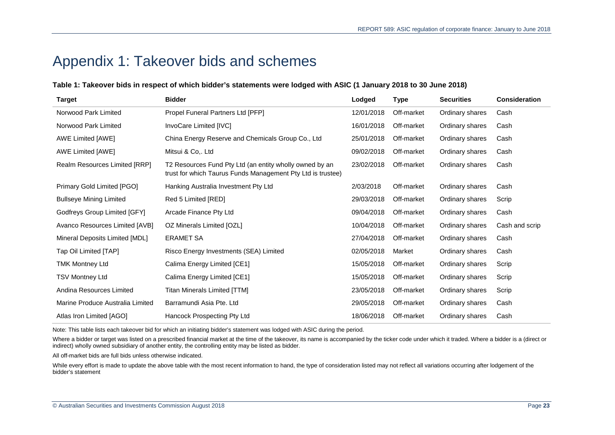## <span id="page-22-0"></span>Appendix 1: Takeover bids and schemes

#### **Table 1: Takeover bids in respect of which bidder's statements were lodged with ASIC (1 January 2018 to 30 June 2018)**

| <b>Target</b>                    | <b>Bidder</b>                                                                                                          | Lodged     | <b>Type</b> | <b>Securities</b> | Consideration  |
|----------------------------------|------------------------------------------------------------------------------------------------------------------------|------------|-------------|-------------------|----------------|
| Norwood Park Limited             | Propel Funeral Partners Ltd [PFP]                                                                                      | 12/01/2018 | Off-market  | Ordinary shares   | Cash           |
| Norwood Park Limited             | <b>InvoCare Limited [IVC]</b>                                                                                          | 16/01/2018 | Off-market  | Ordinary shares   | Cash           |
| <b>AWE Limited [AWE]</b>         | China Energy Reserve and Chemicals Group Co., Ltd                                                                      | 25/01/2018 | Off-market  | Ordinary shares   | Cash           |
| AWE Limited [AWE]                | Mitsui & Co,. Ltd                                                                                                      | 09/02/2018 | Off-market  | Ordinary shares   | Cash           |
| Realm Resources Limited [RRP]    | T2 Resources Fund Pty Ltd (an entity wholly owned by an<br>trust for which Taurus Funds Management Pty Ltd is trustee) | 23/02/2018 | Off-market  | Ordinary shares   | Cash           |
| Primary Gold Limited [PGO]       | Hanking Australia Investment Pty Ltd                                                                                   | 2/03/2018  | Off-market  | Ordinary shares   | Cash           |
| <b>Bullseye Mining Limited</b>   | Red 5 Limited [RED]                                                                                                    | 29/03/2018 | Off-market  | Ordinary shares   | Scrip          |
| Godfreys Group Limited [GFY]     | Arcade Finance Pty Ltd                                                                                                 | 09/04/2018 | Off-market  | Ordinary shares   | Cash           |
| Avanco Resources Limited [AVB]   | OZ Minerals Limited [OZL]                                                                                              | 10/04/2018 | Off-market  | Ordinary shares   | Cash and scrip |
| Mineral Deposits Limited [MDL]   | <b>ERAMET SA</b>                                                                                                       | 27/04/2018 | Off-market  | Ordinary shares   | Cash           |
| Tap Oil Limited [TAP]            | Risco Energy Investments (SEA) Limited                                                                                 | 02/05/2018 | Market      | Ordinary shares   | Cash           |
| <b>TMK Montney Ltd</b>           | Calima Energy Limited [CE1]                                                                                            | 15/05/2018 | Off-market  | Ordinary shares   | Scrip          |
| <b>TSV Montney Ltd</b>           | Calima Energy Limited [CE1]                                                                                            | 15/05/2018 | Off-market  | Ordinary shares   | Scrip          |
| Andina Resources Limited         | <b>Titan Minerals Limited [TTM]</b>                                                                                    | 23/05/2018 | Off-market  | Ordinary shares   | Scrip          |
| Marine Produce Australia Limited | Barramundi Asia Pte. Ltd                                                                                               | 29/05/2018 | Off-market  | Ordinary shares   | Cash           |
| Atlas Iron Limited [AGO]         | Hancock Prospecting Pty Ltd                                                                                            | 18/06/2018 | Off-market  | Ordinary shares   | Cash           |

Note: This table lists each takeover bid for which an initiating bidder's statement was lodged with ASIC during the period.

Where a bidder or target was listed on a prescribed financial market at the time of the takeover, its name is accompanied by the ticker code under which it traded. Where a bidder is a (direct or indirect) wholly owned subsidiary of another entity, the controlling entity may be listed as bidder.

All off-market bids are full bids unless otherwise indicated.

While every effort is made to update the above table with the most recent information to hand, the type of consideration listed may not reflect all variations occurring after lodgement of the bidder's statement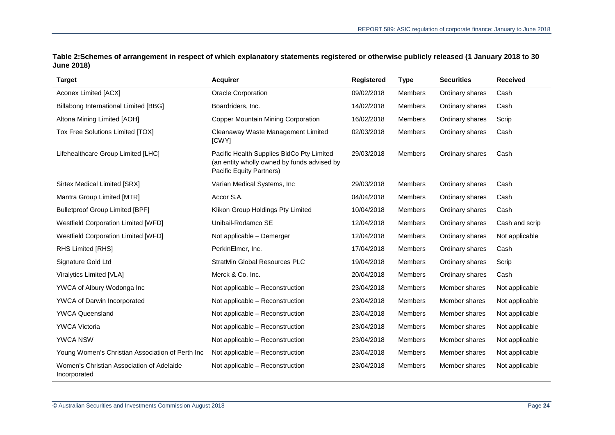**Table 2:Schemes of arrangement in respect of which explanatory statements registered or otherwise publicly released (1 January 2018 to 30 June 2018)**

| <b>Target</b>                                             | <b>Acquirer</b>                                                                                                      | <b>Registered</b> | <b>Type</b>    | <b>Securities</b> | <b>Received</b> |
|-----------------------------------------------------------|----------------------------------------------------------------------------------------------------------------------|-------------------|----------------|-------------------|-----------------|
| <b>Aconex Limited [ACX]</b>                               | Oracle Corporation                                                                                                   | 09/02/2018        | <b>Members</b> | Ordinary shares   | Cash            |
| Billabong International Limited [BBG]                     | Boardriders, Inc.                                                                                                    | 14/02/2018        | <b>Members</b> | Ordinary shares   | Cash            |
| Altona Mining Limited [AOH]                               | <b>Copper Mountain Mining Corporation</b>                                                                            | 16/02/2018        | <b>Members</b> | Ordinary shares   | Scrip           |
| Tox Free Solutions Limited [TOX]                          | Cleanaway Waste Management Limited<br>[CWY]                                                                          | 02/03/2018        | <b>Members</b> | Ordinary shares   | Cash            |
| Lifehealthcare Group Limited [LHC]                        | Pacific Health Supplies BidCo Pty Limited<br>(an entity wholly owned by funds advised by<br>Pacific Equity Partners) | 29/03/2018        | <b>Members</b> | Ordinary shares   | Cash            |
| Sirtex Medical Limited [SRX]                              | Varian Medical Systems, Inc                                                                                          | 29/03/2018        | Members        | Ordinary shares   | Cash            |
| Mantra Group Limited [MTR]                                | Accor S.A.                                                                                                           | 04/04/2018        | Members        | Ordinary shares   | Cash            |
| <b>Bulletproof Group Limited [BPF]</b>                    | Klikon Group Holdings Pty Limited                                                                                    | 10/04/2018        | Members        | Ordinary shares   | Cash            |
| <b>Westfield Corporation Limited [WFD]</b>                | Unibail-Rodamco SE                                                                                                   | 12/04/2018        | <b>Members</b> | Ordinary shares   | Cash and scrip  |
| <b>Westfield Corporation Limited [WFD]</b>                | Not applicable - Demerger                                                                                            | 12/04/2018        | <b>Members</b> | Ordinary shares   | Not applicable  |
| RHS Limited [RHS]                                         | PerkinElmer, Inc.                                                                                                    | 17/04/2018        | Members        | Ordinary shares   | Cash            |
| Signature Gold Ltd                                        | <b>StratMin Global Resources PLC</b>                                                                                 | 19/04/2018        | <b>Members</b> | Ordinary shares   | Scrip           |
| Viralytics Limited [VLA]                                  | Merck & Co. Inc.                                                                                                     | 20/04/2018        | Members        | Ordinary shares   | Cash            |
| YWCA of Albury Wodonga Inc                                | Not applicable - Reconstruction                                                                                      | 23/04/2018        | <b>Members</b> | Member shares     | Not applicable  |
| YWCA of Darwin Incorporated                               | Not applicable – Reconstruction                                                                                      | 23/04/2018        | <b>Members</b> | Member shares     | Not applicable  |
| <b>YWCA Queensland</b>                                    | Not applicable - Reconstruction                                                                                      | 23/04/2018        | <b>Members</b> | Member shares     | Not applicable  |
| <b>YWCA Victoria</b>                                      | Not applicable – Reconstruction                                                                                      | 23/04/2018        | Members        | Member shares     | Not applicable  |
| <b>YWCA NSW</b>                                           | Not applicable - Reconstruction                                                                                      | 23/04/2018        | Members        | Member shares     | Not applicable  |
| Young Women's Christian Association of Perth Inc          | Not applicable - Reconstruction                                                                                      | 23/04/2018        | Members        | Member shares     | Not applicable  |
| Women's Christian Association of Adelaide<br>Incorporated | Not applicable - Reconstruction                                                                                      | 23/04/2018        | <b>Members</b> | Member shares     | Not applicable  |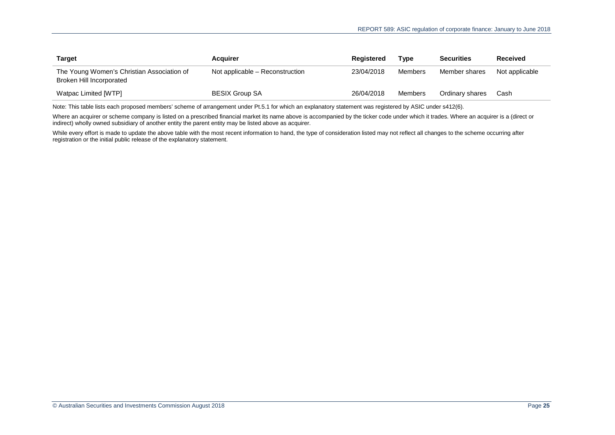| Target                                                                 | <b>Acquirer</b>                 | Registered | Type    | <b>Securities</b> | Received       |
|------------------------------------------------------------------------|---------------------------------|------------|---------|-------------------|----------------|
| The Young Women's Christian Association of<br>Broken Hill Incorporated | Not applicable – Reconstruction | 23/04/2018 | Members | Member shares     | Not applicable |
| Watpac Limited [WTP]                                                   | <b>BESIX Group SA</b>           | 26/04/2018 | Members | Ordinary shares   | Cash           |

Note: This table lists each proposed members' scheme of arrangement under Pt.5.1 for which an explanatory statement was registered by ASIC under s412(6).

Where an acquirer or scheme company is listed on a prescribed financial market its name above is accompanied by the ticker code under which it trades. Where an acquirer is a (direct or indirect) wholly owned subsidiary of another entity the parent entity may be listed above as acquirer.

While every effort is made to update the above table with the most recent information to hand, the type of consideration listed may not reflect all changes to the scheme occurring after registration or the initial public release of the explanatory statement.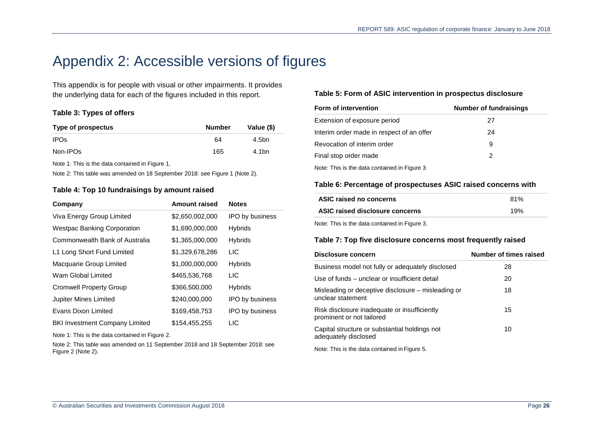# <span id="page-25-0"></span>Appendix 2: Accessible versions of figures

This appendix is for people with visual or other impairments. It provides the underlying data for each of the figures included in this report.

#### <span id="page-25-1"></span>**Table 3: Types of offers**

| Type of prospectus | <b>Number</b> | Value (\$) |
|--------------------|---------------|------------|
| IPOs.              | 64            | 4.5bn      |
| Non-IPOs           | 165           | 4.1bn      |

Note 1: This is the data contained in [Figure](#page-5-1) 1.

<span id="page-25-2"></span>Note 2: This table was amended on 18 September 2018: see [Figure](#page-5-1) 1 (Note 2).

#### **Table 4: Top 10 fundraisings by amount raised**

| Company                               | <b>Amount raised</b> | <b>Notes</b>           |
|---------------------------------------|----------------------|------------------------|
| Viva Energy Group Limited             | \$2,650,002,000      | <b>IPO by business</b> |
| <b>Westpac Banking Corporation</b>    | \$1,690,000,000      | <b>Hybrids</b>         |
| Commonwealth Bank of Australia        | \$1,365,000,000      | <b>Hybrids</b>         |
| L1 Long Short Fund Limited            | \$1,329,678,286      | <b>LIC</b>             |
| Macquarie Group Limited               | \$1,000,000,000      | <b>Hybrids</b>         |
| Wam Global Limited                    | \$465,536,768        | <b>LIC</b>             |
| <b>Cromwell Property Group</b>        | \$366,500,000        | <b>Hybrids</b>         |
| <b>Jupiter Mines Limited</b>          | \$240,000,000        | <b>IPO by business</b> |
| Evans Dixon Limited                   | \$169,458,753        | <b>IPO by business</b> |
| <b>BKI Investment Company Limited</b> | \$154.455.255        | <b>LIC</b>             |

Note 1: This is the data contained in [Figure](#page-5-2) 2.

Note 2: This table was amended on 11 September 2018 and 18 September 2018: see [Figure](#page-5-2) 2 (Note 2).

#### <span id="page-25-3"></span>**Table 5: Form of ASIC intervention in prospectus disclosure**

| <b>Form of intervention</b>                  | <b>Number of fundraisings</b> |
|----------------------------------------------|-------------------------------|
| Extension of exposure period                 | 27                            |
| Interim order made in respect of an offer    | 24                            |
| Revocation of interim order                  | 9                             |
| Final stop order made                        | 2                             |
| Note: This is the data contained in Figure 3 |                               |

#### <span id="page-25-4"></span>**Table 6: Percentage of prospectuses ASIC raised concerns with**

| ASIC raised no concerns         | 81% |
|---------------------------------|-----|
| ASIC raised disclosure concerns | 19% |
|                                 |     |

<span id="page-25-5"></span>Note: This is the data contained i[n Figure](#page-6-0) 3.

#### **Table 7: Top five disclosure concerns most frequently raised**

| Disclosure concern                                                        | Number of times raised |
|---------------------------------------------------------------------------|------------------------|
| Business model not fully or adequately disclosed                          | 28                     |
| Use of funds – unclear or insufficient detail                             | 20                     |
| Misleading or deceptive disclosure – misleading or<br>unclear statement   | 18                     |
| Risk disclosure inadequate or insufficiently<br>prominent or not tailored | 15                     |
| Capital structure or substantial holdings not<br>adequately disclosed     | 10                     |
| トキュリュー 下したい たいけい ハード・エス しょうせい いっぱ いっぽんしゅうしゅぎ                              |                        |

Note: This is the data contained in [Figure](#page-6-2) 5.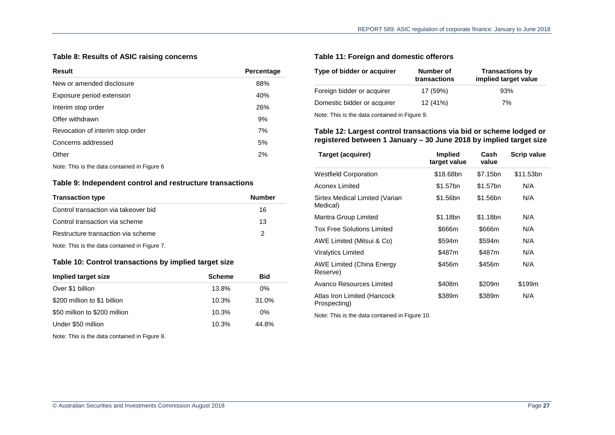### <span id="page-26-0"></span>**Table 8: Results of ASIC raising concerns**

| Result                           | Percentage |
|----------------------------------|------------|
| New or amended disclosure        | 88%        |
| Exposure period extension        | 40%        |
| Interim stop order               | 26%        |
| Offer withdrawn                  | 9%         |
| Revocation of interim stop order | 7%         |
| Concerns addressed               | 5%         |
| Other                            | 2%         |
|                                  |            |

<span id="page-26-1"></span>Note: This is the data contained i[n Figure](#page-6-3) 6

#### **Table 9: Independent control and restructure transactions**

| <b>Transaction type</b>                       | Number |
|-----------------------------------------------|--------|
| Control transaction via takeover bid          | 16     |
| Control transaction via scheme                | 13     |
| Restructure transaction via scheme            | 2      |
| Note: This is the data contained in Figure 7. |        |

#### <span id="page-26-2"></span>**Table 10: Control transactions by implied target size**

| Implied target size           | <b>Scheme</b> | <b>Bid</b> |
|-------------------------------|---------------|------------|
| Over \$1 billion              | 13.8%         | $0\%$      |
| \$200 million to \$1 billion  | 10.3%         | 31.0%      |
| \$50 million to \$200 million | 10.3%         | $0\%$      |
| Under \$50 million            | 10.3%         | 44.8%      |

Note: This is the data contained i[n Figure 8.](#page-12-2)

#### <span id="page-26-3"></span>**Table 11: Foreign and domestic offerors**

| Type of bidder or acquirer  | Number of<br>transactions | <b>Transactions by</b><br>implied target value |
|-----------------------------|---------------------------|------------------------------------------------|
| Foreign bidder or acquirer  | 17 (59%)                  | 93%                                            |
| Domestic bidder or acquirer | 12 (41%)                  | 7%                                             |
| N                           |                           |                                                |

<span id="page-26-4"></span>Note: This is the data contained i[n Figure](#page-12-3) 9.

#### **Table 12: Largest control transactions via bid or scheme lodged or registered between 1 January – 30 June 2018 by implied target size**

| Target (acquirer)                           | <b>Implied</b><br>target value | Cash<br>value | <b>Scrip value</b> |
|---------------------------------------------|--------------------------------|---------------|--------------------|
| <b>Westfield Corporation</b>                | \$18.68bn                      | \$7.15bn      | \$11.53bn          |
| Aconex Limited                              | \$1.57bn                       | \$1.57bn      | N/A                |
| Sirtex Medical Limited (Varian<br>Medical)  | \$1.56bn                       | \$1.56bn      | N/A                |
| Mantra Group Limited                        | \$1.18bn                       | \$1.18bn      | N/A                |
| <b>Tox Free Solutions Limited</b>           | \$666m                         | \$666m        | N/A                |
| AWE Limited (Mitsui & Co)                   | \$594m                         | \$594m        | N/A                |
| <b>Viralytics Limited</b>                   | \$487m                         | \$487m        | N/A                |
| AWE Limited (China Energy<br>Reserve)       | \$456m                         | \$456m        | N/A                |
| Avanco Resources Limited                    | \$408m                         | \$209m        | \$199m             |
| Atlas Iron Limited (Hancock<br>Prospecting) | \$389m                         | \$389m        | N/A                |

Note: This is the data contained i[n Figure 10.](#page-13-2)